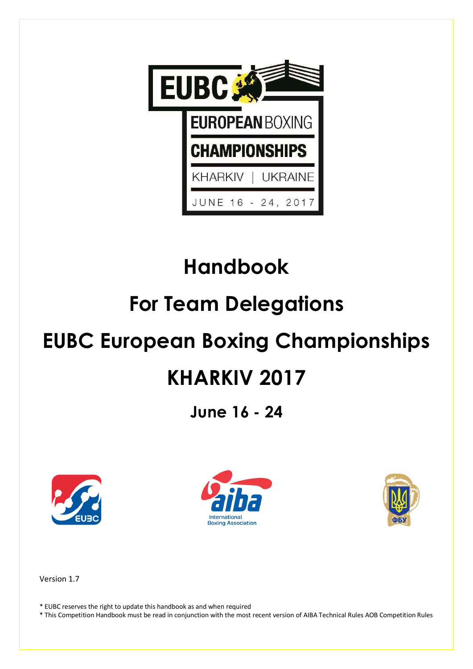

# **Handbook**

# **For Team Delegations**

# **EUBC European Boxing Championships**

# **KHARKIV 2017**

**June 16 - 24**







Version 1.7

\* EUBC reserves the right to update this handbook as and when required

\* This Competition Handbook must be read in conjunction with the most recent version of AIBA Technical Rules AOB Competition Rules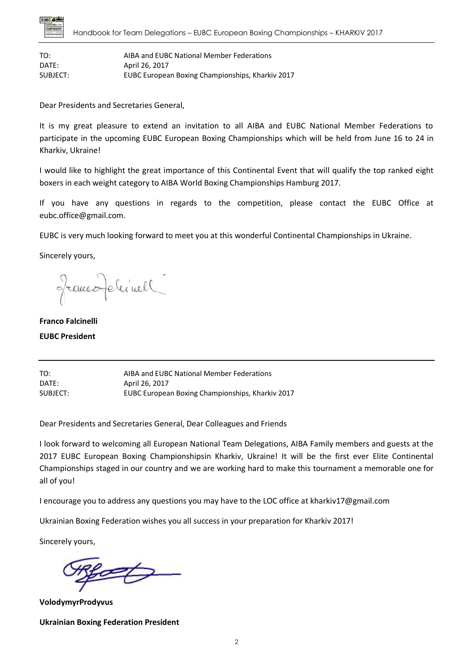

TO: AIBA and EUBC National Member Federations DATE: April 26, 2017 SUBJECT: EUBC European Boxing Championships, Kharkiv 2017

Dear Presidents and Secretaries General,

It is my great pleasure to extend an invitation to all AIBA and EUBC National Member Federations to participate in the upcoming EUBC European Boxing Championships which will be held from June 16 to 24 in Kharkiv, Ukraine!

I would like to highlight the great importance of this Continental Event that will qualify the top ranked eight boxers in each weight category to AIBA World Boxing Championships Hamburg 2017.

If you have any questions in regards to the competition, please contact the EUBC Office at eubc.office@gmail.com.

EUBC is very much looking forward to meet you at this wonderful Continental Championships in Ukraine.

Sincerely yours,

francoferinell

**Franco Falcinelli**

#### **EUBC President**

TO: AIBA and EUBC National Member Federations DATE: April 26, 2017 SUBJECT: EUBC European Boxing Championships, Kharkiv 2017

Dear Presidents and Secretaries General, Dear Colleagues and Friends

I look forward to welcoming all European National Team Delegations, AIBA Family members and guests at the 2017 EUBC European Boxing Championshipsin Kharkiv, Ukraine! It will be the first ever Elite Continental Championships staged in our country and we are working hard to make this tournament a memorable one for all of you!

I encourage you to address any questions you may have to the LOC office at kharkiv17@gmail.com

Ukrainian Boxing Federation wishes you all success in your preparation for Kharkiv 2017!

Sincerely yours,

**VolodymyrProdyvus**

**Ukrainian Boxing Federation President**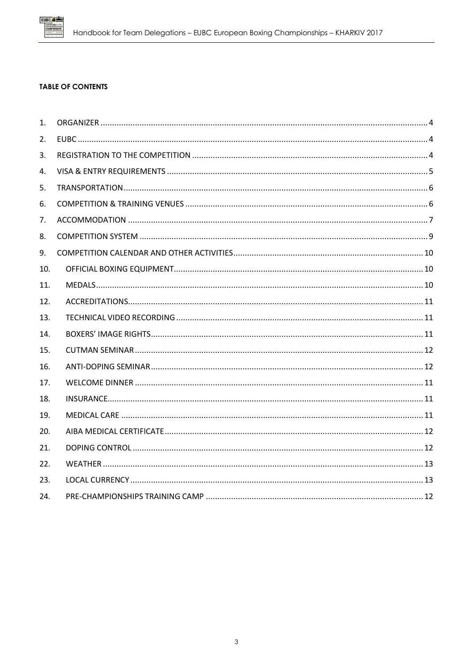

#### **TABLE OF CONTENTS**

| 1.  |  |
|-----|--|
| 2.  |  |
| 3.  |  |
| 4.  |  |
| 5.  |  |
| 6.  |  |
| 7.  |  |
| 8.  |  |
| 9.  |  |
| 10. |  |
| 11. |  |
| 12. |  |
| 13. |  |
| 14. |  |
| 15. |  |
| 16. |  |
| 17. |  |
| 18. |  |
| 19. |  |
| 20. |  |
| 21. |  |
| 22. |  |
| 23. |  |
| 24. |  |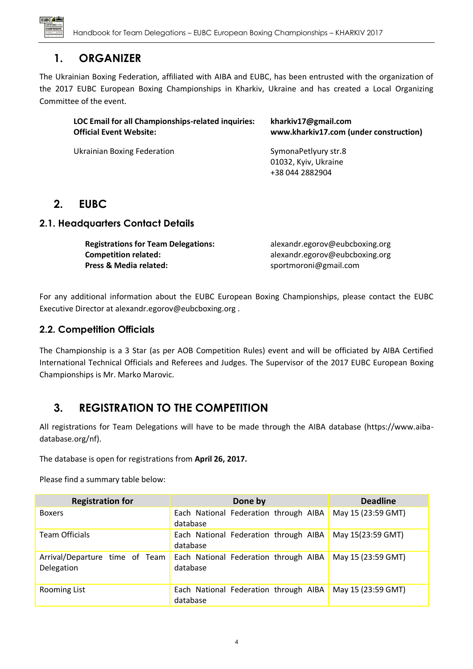

## **1. ORGANIZER**

<span id="page-3-0"></span>The Ukrainian Boxing Federation, affiliated with AIBA and EUBC, has been entrusted with the organization of the 2017 EUBC European Boxing Championships in Kharkiv, Ukraine and has created a Local Organizing Committee of the event.

| LOC Email for all Championships-related inquiries:<br><b>Official Event Website:</b> | kharkiv17@gmail.com<br>www.kharkiv17.com (under construction) |  |
|--------------------------------------------------------------------------------------|---------------------------------------------------------------|--|
| Ukrainian Boxing Federation                                                          | SymonaPetlyury str.8                                          |  |
|                                                                                      | 01032, Kyiv, Ukraine                                          |  |
|                                                                                      | +38 044 2882904                                               |  |

# <span id="page-3-1"></span>**2. EUBC**

## **2.1. Headquarters Contact Details**

| <b>Registrations for Team Delegations:</b> | alexandr.egorov@eubcboxing.org |
|--------------------------------------------|--------------------------------|
| <b>Competition related:</b>                | alexandr.egorov@eubcboxing.org |
| Press & Media related:                     | sportmoroni@gmail.com          |

For any additional information about the EUBC European Boxing Championships, please contact the EUBC Executive Director at alexandr.egorov@eubcboxing.org .

### **2.2. Competition Officials**

The Championship is a 3 Star (as per AOB Competition Rules) event and will be officiated by AIBA Certified International Technical Officials and Referees and Judges. The Supervisor of the 2017 EUBC European Boxing Championships is Mr. Marko Marovic.

# <span id="page-3-2"></span>**3. REGISTRATION TO THE COMPETITION**

All registrations for Team Delegations will have to be made through the AIBA database (https://www.aibadatabase.org/nf).

The database is open for registrations from **April 26, 2017.**

Please find a summary table below:

| <b>Registration for</b>                      | Done by                                                  | <b>Deadline</b>    |
|----------------------------------------------|----------------------------------------------------------|--------------------|
| <b>Boxers</b>                                | Each National Federation through AIBA<br>database        | May 15 (23:59 GMT) |
| <b>Team Officials</b>                        | Each National Federation through AIBA<br>database        | May 15(23:59 GMT)  |
| Arrival/Departure time of Team<br>Delegation | <b>Each National Federation through AIBA</b><br>database | May 15 (23:59 GMT) |
| <b>Rooming List</b>                          | Each National Federation through AIBA<br>database        | May 15 (23:59 GMT) |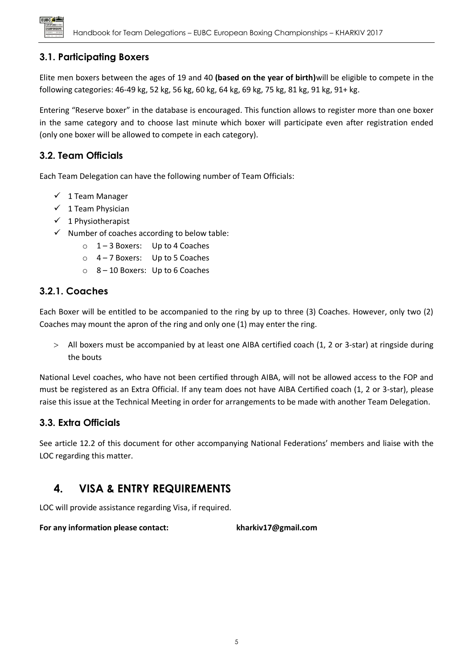

## **3.1. Participating Boxers**

Elite men boxers between the ages of 19 and 40 **(based on the year of birth)**will be eligible to compete in the following categories: 46-49 kg, 52 kg, 56 kg, 60 kg, 64 kg, 69 kg, 75 kg, 81 kg, 91 kg, 91+ kg.

Entering "Reserve boxer" in the database is encouraged. This function allows to register more than one boxer in the same category and to choose last minute which boxer will participate even after registration ended (only one boxer will be allowed to compete in each category).

## **3.2. Team Officials**

Each Team Delegation can have the following number of Team Officials:

- $\checkmark$  1 Team Manager
- $\checkmark$  1 Team Physician
- $\checkmark$  1 Physiotherapist
- $\checkmark$  Number of coaches according to below table:
	- o 1 3 Boxers: Up to 4 Coaches
	- o 4 7 Boxers: Up to 5 Coaches
	- o 8 10 Boxers: Up to 6 Coaches

## **3.2.1. Coaches**

Each Boxer will be entitled to be accompanied to the ring by up to three (3) Coaches. However, only two (2) Coaches may mount the apron of the ring and only one (1) may enter the ring.

 All boxers must be accompanied by at least one AIBA certified coach (1, 2 or 3-star) at ringside during the bouts

National Level coaches, who have not been certified through AIBA, will not be allowed access to the FOP and must be registered as an Extra Official. If any team does not have AIBA Certified coach (1, 2 or 3-star), please raise this issue at the Technical Meeting in order for arrangements to be made with another Team Delegation.

## **3.3. Extra Officials**

See article 12.2 of this document for other accompanying National Federations' members and liaise with the LOC regarding this matter.

## <span id="page-4-0"></span>**4. VISA & ENTRY REQUIREMENTS**

LOC will provide assistance regarding Visa, if required.

<span id="page-4-1"></span>**For any information please contact: kharkiv17@gmail.com**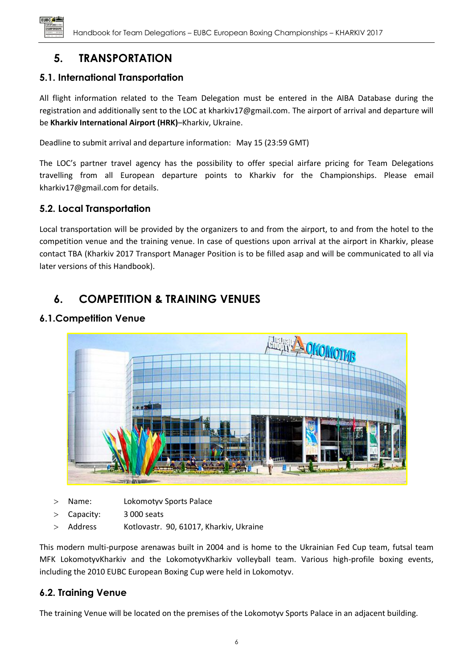

# **5. TRANSPORTATION**

## **5.1. International Transportation**

All flight information related to the Team Delegation must be entered in the AIBA Database during the registration and additionally sent to the LOC at kharkiv17@gmail.com. The airport of arrival and departure will be **Kharkiv International Airport (HRK)**–Kharkiv, Ukraine.

Deadline to submit arrival and departure information: May 15 (23:59 GMT)

The LOC's partner travel agency has the possibility to offer special airfare pricing for Team Delegations travelling from all European departure points to Kharkiv for the Championships. Please email kharkiv17@gmail.com for details.

## **5.2. Local Transportation**

Local transportation will be provided by the organizers to and from the airport, to and from the hotel to the competition venue and the training venue. In case of questions upon arrival at the airport in Kharkiv, please contact TBA (Kharkiv 2017 Transport Manager Position is to be filled asap and will be communicated to all via later versions of this Handbook).

# <span id="page-5-0"></span>**6. COMPETITION & TRAINING VENUES**

## **6.1.Competition Venue**



- Name: Lokomotyv Sports Palace
- Capacity: 3 000 seats
- > Address Kotlovastr. 90, 61017, Kharkiv, Ukraine

This modern multi-purpose arenawas built in 2004 and is home to the Ukrainian Fed Cup team, futsal team MFK LokomotyvKharkiv and the LokomotyvKharkiv volleyball team. Various high-profile boxing events, including the 2010 EUBC European Boxing Cup were held in Lokomotyv.

## **6.2. Training Venue**

The training Venue will be located on the premises of the Lokomotyv Sports Palace in an adjacent building.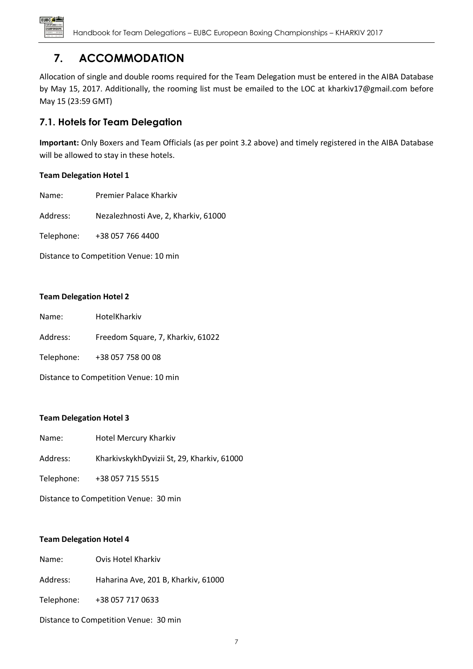

# **7. ACCOMMODATION**

<span id="page-6-0"></span>Allocation of single and double rooms required for the Team Delegation must be entered in the AIBA Database by May 15, 2017. Additionally, the rooming list must be emailed to the LOC at kharkiv17@gmail.com before May 15 (23:59 GMT)

## **7.1. Hotels for Team Delegation**

**Important:** Only Boxers and Team Officials (as per point 3.2 above) and timely registered in the AIBA Database will be allowed to stay in these hotels.

#### **Team Delegation Hotel 1**

Name: Premier Palace Kharkiv

Address: Nezalezhnosti Ave, 2, Kharkiv, 61000

Telephone: +38 057 766 4400

Distance to Competition Venue: 10 min

#### **Team Delegation Hotel 2**

| Name:                                 | HotelKharkiv                      |  |  |
|---------------------------------------|-----------------------------------|--|--|
| Address:                              | Freedom Square, 7, Kharkiv, 61022 |  |  |
| Telephone:                            | +38 057 758 00 08                 |  |  |
| Distance to Competition Venue: 10 min |                                   |  |  |

#### **Team Delegation Hotel 3**

- Name: Hotel Mercury Kharkiv
- Address: KharkivskykhDyvizii St, 29, Kharkiv, 61000

Telephone: +3[8 057 715 5515](javascript:void(0))

Distance to Competition Venue: 30 min

#### **Team Delegation Hotel 4**

| Name: | Ovis Hotel Kharkiv |  |
|-------|--------------------|--|
|       |                    |  |

Address: Haharina Ave, 201 B, Kharkiv, 61000

Telephone: +3[8 057 717 0633](javascript:void(0))

Distance to Competition Venue: 30 min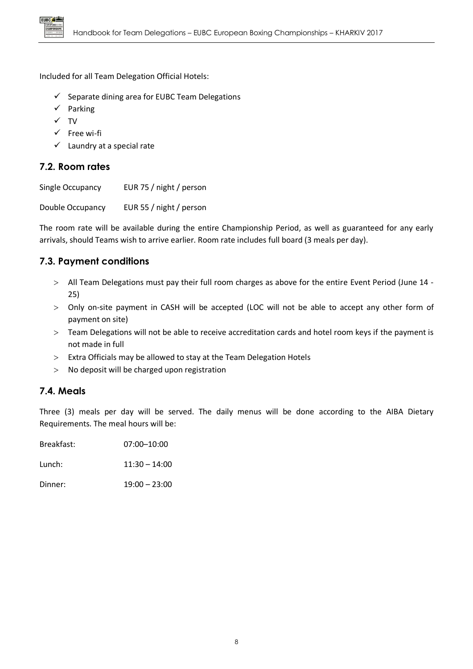

Included for all Team Delegation Official Hotels:

- $\checkmark$  Separate dining area for EUBC Team Delegations
- $\checkmark$  Parking
- $\checkmark$  TV
- $\checkmark$  Free wi-fi
- $\checkmark$  Laundry at a special rate

## **7.2. Room rates**

Single Occupancy EUR 75 / night / person

Double Occupancy EUR 55 / night / person

The room rate will be available during the entire Championship Period, as well as guaranteed for any early arrivals, should Teams wish to arrive earlier. Room rate includes full board (3 meals per day).

## **7.3. Payment conditions**

- All Team Delegations must pay their full room charges as above for the entire Event Period (June 14 25)
- Only on-site payment in CASH will be accepted (LOC will not be able to accept any other form of payment on site)
- Team Delegations will not be able to receive accreditation cards and hotel room keys if the payment is not made in full
- $>$  Extra Officials may be allowed to stay at the Team Delegation Hotels
- No deposit will be charged upon registration

#### **7.4. Meals**

Three (3) meals per day will be served. The daily menus will be done according to the AIBA Dietary Requirements. The meal hours will be:

| Breakfast: | $07:00 - 10:00$ |
|------------|-----------------|
| Lunch:     | $11:30 - 14:00$ |
| Dinner:    | $19:00 - 23:00$ |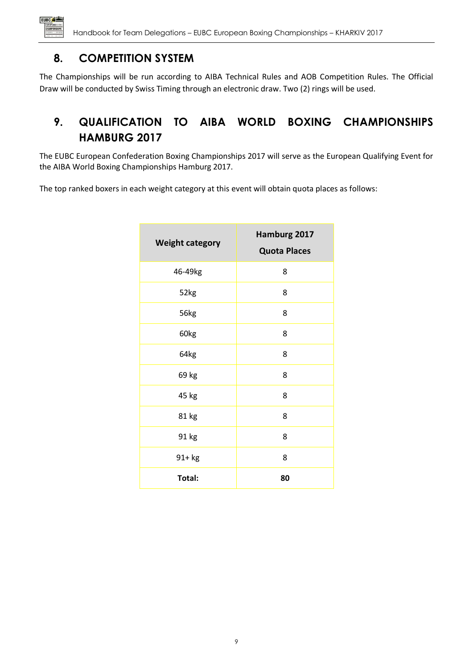

# **8. COMPETITION SYSTEM**

<span id="page-8-0"></span>The Championships will be run according to AIBA Technical Rules and AOB Competition Rules. The Official Draw will be conducted by Swiss Timing through an electronic draw. Two (2) rings will be used.

# **9. QUALIFICATION TO AIBA WORLD BOXING CHAMPIONSHIPS HAMBURG 2017**

The EUBC European Confederation Boxing Championships 2017 will serve as the European Qualifying Event for the AIBA World Boxing Championships Hamburg 2017.

The top ranked boxers in each weight category at this event will obtain quota places as follows:

| <b>Weight category</b> | Hamburg 2017<br><b>Quota Places</b> |
|------------------------|-------------------------------------|
| 46-49kg                | 8                                   |
| 52kg                   | 8                                   |
| 56kg                   | 8                                   |
| 60kg                   | 8                                   |
| 64kg                   | 8                                   |
| 69 kg                  | 8                                   |
| 45 kg                  | 8                                   |
| 81 kg                  | 8                                   |
| 91 kg                  | 8                                   |
| 91+ kg                 | 8                                   |
| Total:                 | 80                                  |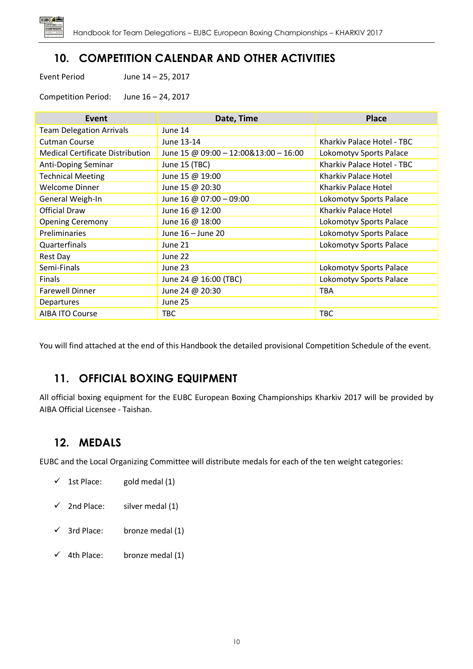

# **10. COMPETITION CALENDAR AND OTHER ACTIVITIES**

<span id="page-9-0"></span>Event Period June 14 – 25, 2017

Competition Period: June 16 – 24, 2017

| Event                                   | Date, Time                            | <b>Place</b>               |
|-----------------------------------------|---------------------------------------|----------------------------|
| <b>Team Delegation Arrivals</b>         | June 14                               |                            |
| <b>Cutman Course</b>                    | June 13-14                            | Kharkiv Palace Hotel - TBC |
| <b>Medical Certificate Distribution</b> | June 15 @ 09:00 - 12:00&13:00 - 16:00 | Lokomotyv Sports Palace    |
| Anti-Doping Seminar                     | June 15 (TBC)                         | Kharkiv Palace Hotel - TBC |
| <b>Technical Meeting</b>                | June 15 @ 19:00                       | Kharkiv Palace Hotel       |
| Welcome Dinner                          | June 15 @ 20:30                       | Kharkiy Palace Hotel       |
| General Weigh-In                        | June 16 @ 07:00 - 09:00               | Lokomotyv Sports Palace    |
| Official Draw                           | June 16 @ 12:00                       | Kharkiy Palace Hotel       |
| <b>Opening Ceremony</b>                 | June 16 @ 18:00                       | Lokomotyv Sports Palace    |
| Preliminaries                           | June 16 - June 20                     | Lokomotyv Sports Palace    |
| Quarterfinals                           | June 21                               | Lokomotyv Sports Palace    |
| Rest Day                                | June 22                               |                            |
| Semi-Finals                             | June 23                               | Lokomotyv Sports Palace    |
| Finals                                  | June 24 @ 16:00 (TBC)                 | Lokomotyv Sports Palace    |
| <b>Farewell Dinner</b>                  | June 24 @ 20:30                       | <b>TBA</b>                 |
| Departures                              | June 25                               |                            |
| AIBA ITO Course                         | TBC                                   | <b>TBC</b>                 |

<span id="page-9-1"></span>You will find attached at the end of this Handbook the detailed provisional Competition Schedule of the event.

# **11. OFFICIAL BOXING EQUIPMENT**

All official boxing equipment for the EUBC European Boxing Championships Kharkiv 2017 will be provided by AIBA Official Licensee - Taishan.

# <span id="page-9-2"></span>**12. MEDALS**

EUBC and the Local Organizing Committee will distribute medals for each of the ten weight categories:

- $\checkmark$  1st Place: gold medal (1)
- $\checkmark$  2nd Place: silver medal (1)
- $\checkmark$  3rd Place: bronze medal (1)
- $\checkmark$  4th Place: bronze medal (1)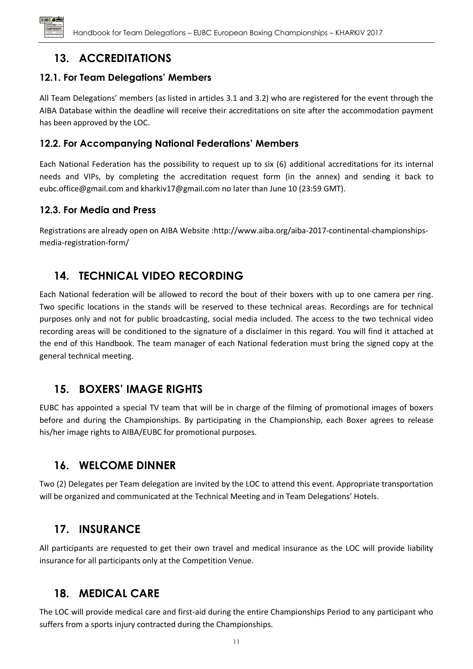

# **13. ACCREDITATIONS**

## <span id="page-10-0"></span>**12.1. For Team Delegations' Members**

All Team Delegations' members (as listed in articles 3.1 and 3.2) who are registered for the event through the AIBA Database within the deadline will receive their accreditations on site after the accommodation payment has been approved by the LOC.

## **12.2. For Accompanying National Federations' Members**

Each National Federation has the possibility to request up to six (6) additional accreditations for its internal needs and VIPs, by completing the accreditation request form (in the annex) and sending it back to eubc.office@gmail.com and kharkiv17@gmail.com no later than June 10 (23:59 GMT).

## **12.3. For Media and Press**

Registrations are already open on AIBA Website [:http://www.aiba.org/aiba-2017-continental-championships](http://www.aiba.org/aiba-2017-continental-championships-media-registration-form/)[media-registration-form/](http://www.aiba.org/aiba-2017-continental-championships-media-registration-form/)

# <span id="page-10-1"></span>**14. TECHNICAL VIDEO RECORDING**

Each National federation will be allowed to record the bout of their boxers with up to one camera per ring. Two specific locations in the stands will be reserved to these technical areas. Recordings are for technical purposes only and not for public broadcasting, social media included. The access to the two technical video recording areas will be conditioned to the signature of a disclaimer in this regard. You will find it attached at the end of this Handbook. The team manager of each National federation must bring the signed copy at the general technical meeting.

## <span id="page-10-2"></span>**15. BOXERS' IMAGE RIGHTS**

EUBC has appointed a special TV team that will be in charge of the filming of promotional images of boxers before and during the Championships. By participating in the Championship, each Boxer agrees to release his/her image rights to AIBA/EUBC for promotional purposes.

# <span id="page-10-3"></span>**16. WELCOME DINNER**

Two (2) Delegates per Team delegation are invited by the LOC to attend this event. Appropriate transportation will be organized and communicated at the Technical Meeting and in Team Delegations' Hotels.

## <span id="page-10-4"></span>**17. INSURANCE**

All participants are requested to get their own travel and medical insurance as the LOC will provide liability insurance for all participants only at the Competition Venue.

## <span id="page-10-5"></span>**18. MEDICAL CARE**

The LOC will provide medical care and first-aid during the entire Championships Period to any participant who suffers from a sports injury contracted during the Championships.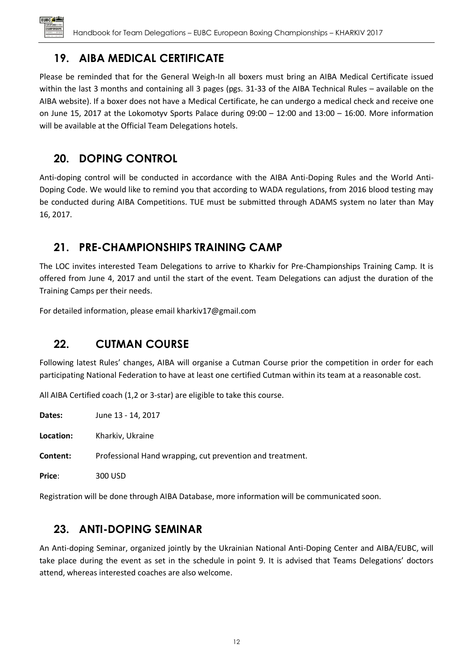

# **19. AIBA MEDICAL CERTIFICATE**

<span id="page-11-2"></span>Please be reminded that for the General Weigh-In all boxers must bring an AIBA Medical Certificate issued within the last 3 months and containing all 3 pages (pgs. 31-33 of the AIBA Technical Rules – available on the AIBA website). If a boxer does not have a Medical Certificate, he can undergo a medical check and receive one on June 15, 2017 at the Lokomotyv Sports Palace during 09:00 – 12:00 and 13:00 – 16:00. More information will be available at the Official Team Delegations hotels.

# <span id="page-11-3"></span>**20. DOPING CONTROL**

Anti-doping control will be conducted in accordance with the AIBA Anti-Doping Rules and the World Anti-Doping Code. We would like to remind you that according to WADA regulations, from 2016 blood testing may be conducted during AIBA Competitions. TUE must be submitted through ADAMS system no later than May 16, 2017.

# <span id="page-11-4"></span>**21. PRE-CHAMPIONSHIPS TRAINING CAMP**

The LOC invites interested Team Delegations to arrive to Kharkiv for Pre-Championships Training Camp. It is offered from June 4, 2017 and until the start of the event. Team Delegations can adjust the duration of the Training Camps per their needs.

<span id="page-11-0"></span>For detailed information, please email kharkiv17@gmail.com

# **22. CUTMAN COURSE**

Following latest Rules' changes, AIBA will organise a Cutman Course prior the competition in order for each participating National Federation to have at least one certified Cutman within its team at a reasonable cost.

All AIBA Certified coach (1,2 or 3-star) are eligible to take this course.

**Dates:** June 13 - 14, 2017

**Location:** Kharkiv, Ukraine

**Content:** Professional Hand wrapping, cut prevention and treatment.

**Price**: 300 USD

Registration will be done through AIBA Database, more information will be communicated soon.

# <span id="page-11-1"></span>**23. ANTI-DOPING SEMINAR**

An Anti-doping Seminar, organized jointly by the Ukrainian National Anti-Doping Center and AIBA/EUBC, will take place during the event as set in the schedule in point 9. It is advised that Teams Delegations' doctors attend, whereas interested coaches are also welcome.